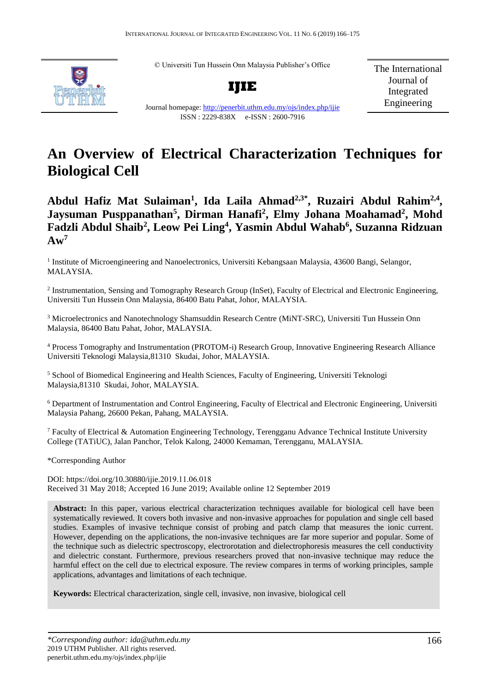© Universiti Tun Hussein Onn Malaysia Publisher's Office



**IJIE**

Journal homepage:<http://penerbit.uthm.edu.my/ojs/index.php/ijie>

The International Journal of Integrated Engineering

# ISSN : 2229-838X e-ISSN : 2600-7916

# **An Overview of Electrical Characterization Techniques for Biological Cell**

Abdul Hafiz Mat Sulaiman<sup>1</sup>, Ida Laila Ahmad<sup>2,3\*</sup>, Ruzairi Abdul Rahim<sup>2,4</sup>, **Jaysuman Pusppanathan<sup>5</sup> , Dirman Hanafi<sup>2</sup> , Elmy Johana Moahamad<sup>2</sup> , Mohd Fadzli Abdul Shaib<sup>2</sup> , Leow Pei Ling<sup>4</sup> , Yasmin Abdul Wahab<sup>6</sup> , Suzanna Ridzuan**   $A w^7$ 

<sup>1</sup> Institute of Microengineering and Nanoelectronics, Universiti Kebangsaan Malaysia, 43600 Bangi, Selangor, MALAYSIA.

<sup>2</sup> Instrumentation, Sensing and Tomography Research Group (InSet), Faculty of Electrical and Electronic Engineering, Universiti Tun Hussein Onn Malaysia, 86400 Batu Pahat, Johor, MALAYSIA.

<sup>3</sup> Microelectronics and Nanotechnology Shamsuddin Research Centre (MiNT-SRC), Universiti Tun Hussein Onn Malaysia, 86400 Batu Pahat, Johor, MALAYSIA.

4 Process Tomography and Instrumentation (PROTOM-i) Research Group, Innovative Engineering Research Alliance Universiti Teknologi Malaysia,81310 Skudai, Johor, MALAYSIA.

<sup>5</sup> School of Biomedical Engineering and Health Sciences, Faculty of Engineering, Universiti Teknologi Malaysia,81310 Skudai, Johor, MALAYSIA.

<sup>6</sup> Department of Instrumentation and Control Engineering, Faculty of Electrical and Electronic Engineering, Universiti Malaysia Pahang, 26600 Pekan, Pahang, MALAYSIA.

<sup>7</sup> Faculty of Electrical & Automation Engineering Technology, Terengganu Advance Technical Institute University College (TATiUC), Jalan Panchor, Telok Kalong, 24000 Kemaman, Terengganu, MALAYSIA.

\*Corresponding Author

DOI: https://doi.org/10.30880/ijie.2019.11.06.018 Received 31 May 2018; Accepted 16 June 2019; Available online 12 September 2019

**Abstract:** In this paper, various electrical characterization techniques available for biological cell have been systematically reviewed. It covers both invasive and non-invasive approaches for population and single cell based studies. Examples of invasive technique consist of probing and patch clamp that measures the ionic current. However, depending on the applications, the non-invasive techniques are far more superior and popular. Some of the technique such as dielectric spectroscopy, electrorotation and dielectrophoresis measures the cell conductivity and dielectric constant. Furthermore, previous researchers proved that non-invasive technique may reduce the harmful effect on the cell due to electrical exposure. The review compares in terms of working principles, sample applications, advantages and limitations of each technique.

**Keywords:** Electrical characterization, single cell, invasive, non invasive, biological cell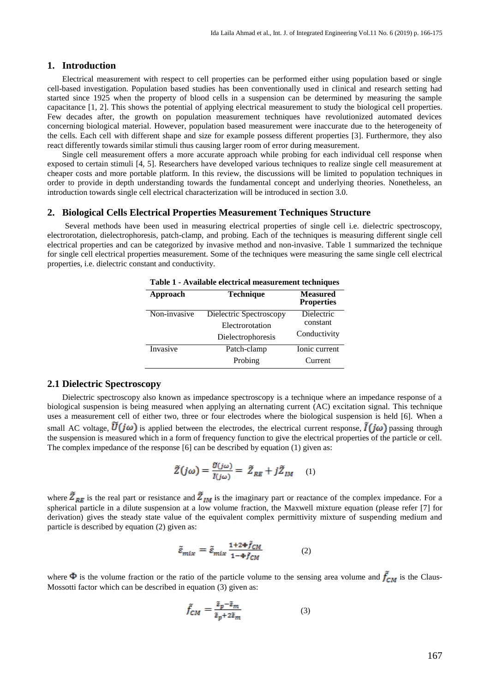# **1. Introduction**

Electrical measurement with respect to cell properties can be performed either using population based or single cell-based investigation. Population based studies has been conventionally used in clinical and research setting had started since 1925 when the property of blood cells in a suspension can be determined by measuring the sample capacitance [1, 2]. This shows the potential of applying electrical measurement to study the biological cell properties. Few decades after, the growth on population measurement techniques have revolutionized automated devices concerning biological material. However, population based measurement were inaccurate due to the heterogeneity of the cells. Each cell with different shape and size for example possess different properties [3]. Furthermore, they also react differently towards similar stimuli thus causing larger room of error during measurement.

Single cell measurement offers a more accurate approach while probing for each individual cell response when exposed to certain stimuli [4, 5]. Researchers have developed various techniques to realize single cell measurement at cheaper costs and more portable platform. In this review, the discussions will be limited to population techniques in order to provide in depth understanding towards the fundamental concept and underlying theories. Nonetheless, an introduction towards single cell electrical characterization will be introduced in section 3.0.

#### **2. Biological Cells Electrical Properties Measurement Techniques Structure**

Several methods have been used in measuring electrical properties of single cell i.e. dielectric spectroscopy, electrorotation, dielectrophoresis, patch-clamp, and probing. Each of the techniques is measuring different single cell electrical properties and can be categorized by invasive method and non-invasive. Table 1 summarized the technique for single cell electrical properties measurement. Some of the techniques were measuring the same single cell electrical properties, i.e. dielectric constant and conductivity.

| Transfer cicetifical measurement techniques |                                                                 |                                        |
|---------------------------------------------|-----------------------------------------------------------------|----------------------------------------|
| Approach                                    | <b>Technique</b>                                                | <b>Measured</b><br><b>Properties</b>   |
| Non-invasive                                | Dielectric Spectroscopy<br>Electrorotation<br>Dielectrophoresis | Dielectric<br>constant<br>Conductivity |
| Invasive                                    | Patch-clamp<br>Probing                                          | Ionic current<br>Current               |

**Table 1 - Available electrical measurement techniques**

# **2.1 Dielectric Spectroscopy**

Dielectric spectroscopy also known as impedance spectroscopy is a technique where an impedance response of a biological suspension is being measured when applying an alternating current (AC) excitation signal. This technique uses a measurement cell of either two, three or four electrodes where the biological suspension is held [6]. When a small AC voltage,  $\tilde{U}(j\omega)$  is applied between the electrodes, the electrical current response,  $\tilde{I}(j\omega)$  passing through the suspension is measured which in a form of frequency function to give the electrical properties of the particle or cell. The complex impedance of the response [6] can be described by equation (1) given as:

$$
\tilde{Z}(j\omega) = \frac{\tilde{v}(j\omega)}{\tilde{l}(j\omega)} = \tilde{Z}_{RE} + j\tilde{Z}_{IM} \quad (1)
$$

where  $\tilde{Z}_{RE}$  is the real part or resistance and  $\tilde{Z}_{IM}$  is the imaginary part or reactance of the complex impedance. For a spherical particle in a dilute suspension at a low volume fraction, the Maxwell mixture equation (please refer [7] for derivation) gives the steady state value of the equivalent complex permittivity mixture of suspending medium and particle is described by equation (2) given as:

$$
\tilde{\varepsilon}_{mix} = \tilde{\varepsilon}_{mix} \frac{1 + 2\Phi \tilde{f}_{CM}}{1 - \Phi \tilde{f}_{CM}} \tag{2}
$$

where  $\Phi$  is the volume fraction or the ratio of the particle volume to the sensing area volume and  $\bar{f}_{CM}$  is the Claus-Mossotti factor which can be described in equation (3) given as:

$$
\tilde{f}_{CM} = \frac{\tilde{s}_p - \tilde{s}_m}{\tilde{s}_p + 2\tilde{s}_m} \tag{3}
$$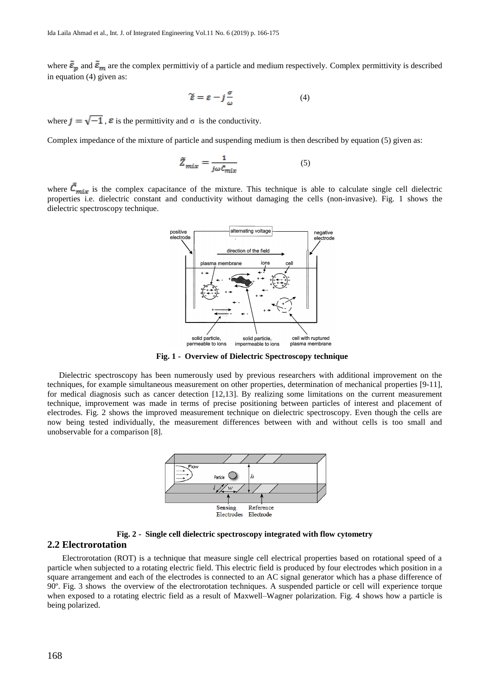where  $\tilde{\varepsilon}_p$  and  $\tilde{\varepsilon}_m$  are the complex permittivity of a particle and medium respectively. Complex permittivity is described in equation (4) given as:

$$
\widetilde{\varepsilon} = \varepsilon - j\frac{\sigma}{\omega} \tag{4}
$$

where  $j = \sqrt{-1}$ ,  $\varepsilon$  is the permittivity and  $\sigma$  is the conductivity.

Complex impedance of the mixture of particle and suspending medium is then described by equation (5) given as:

$$
\tilde{Z}_{mix} = \frac{1}{j\omega \tilde{c}_{mix}}\tag{5}
$$

where  $\vec{C}_{mix}$  is the complex capacitance of the mixture. This technique is able to calculate single cell dielectric properties i.e. dielectric constant and conductivity without damaging the cells (non-invasive). Fig. 1 shows the dielectric spectroscopy technique.



**Fig. 1 - Overview of Dielectric Spectroscopy technique**

Dielectric spectroscopy has been numerously used by previous researchers with additional improvement on the techniques, for example simultaneous measurement on other properties, determination of mechanical properties [9-11], for medical diagnosis such as cancer detection [12,13]. By realizing some limitations on the current measurement technique, improvement was made in terms of precise positioning between particles of interest and placement of electrodes. Fig. 2 shows the improved measurement technique on dielectric spectroscopy. Even though the cells are now being tested individually, the measurement differences between with and without cells is too small and unobservable for a comparison [8].



**Fig. 2 - Single cell dielectric spectroscopy integrated with flow cytometry**

# **2.2 Electrorotation**

Electrorotation (ROT) is a technique that measure single cell electrical properties based on rotational speed of a particle when subjected to a rotating electric field. This electric field is produced by four electrodes which position in a square arrangement and each of the electrodes is connected to an AC signal generator which has a phase difference of 90º. Fig. 3 shows the overview of the electrorotation techniques. A suspended particle or cell will experience torque when exposed to a rotating electric field as a result of Maxwell–Wagner polarization. Fig. 4 shows how a particle is being polarized.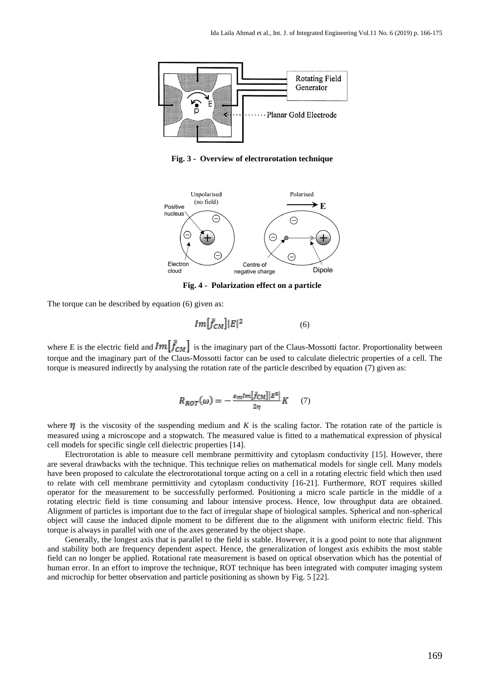

**Fig. 3 - Overview of electrorotation technique** 



**Fig. 4 - Polarization effect on a particle** 

The torque can be described by equation (6) given as:

$$
Im[\tilde{f}_{CM}]|E|^2\tag{6}
$$

where E is the electric field and  $Im[\tilde{f}_{CM}]$  is the imaginary part of the Claus-Mossotti factor. Proportionality between torque and the imaginary part of the Claus-Mossotti factor can be used to calculate dielectric properties of a cell. The torque is measured indirectly by analysing the rotation rate of the particle described by equation (7) given as:

$$
R_{ROT}(\omega) = -\frac{\varepsilon_m Im[\tilde{f}_{CM}] |E^2|}{2\eta} K \qquad (7)
$$

where  $\eta$  is the viscosity of the suspending medium and *K* is the scaling factor. The rotation rate of the particle is measured using a microscope and a stopwatch. The measured value is fitted to a mathematical expression of physical cell models for specific single cell dielectric properties [14].

Electrorotation is able to measure cell membrane permittivity and cytoplasm conductivity [15]. However, there are several drawbacks with the technique. This technique relies on mathematical models for single cell. Many models have been proposed to calculate the electrorotational torque acting on a cell in a rotating electric field which then used to relate with cell membrane permittivity and cytoplasm conductivity [16-21]. Furthermore, ROT requires skilled operator for the measurement to be successfully performed. Positioning a micro scale particle in the middle of a rotating electric field is time consuming and labour intensive process. Hence, low throughput data are obtained. Alignment of particles is important due to the fact of irregular shape of biological samples. Spherical and non-spherical object will cause the induced dipole moment to be different due to the alignment with uniform electric field. This torque is always in parallel with one of the axes generated by the object shape.

Generally, the longest axis that is parallel to the field is stable. However, it is a good point to note that alignment and stability both are frequency dependent aspect. Hence, the generalization of longest axis exhibits the most stable field can no longer be applied. Rotational rate measurement is based on optical observation which has the potential of human error. In an effort to improve the technique, ROT technique has been integrated with computer imaging system and microchip for better observation and particle positioning as shown by Fig. 5 [22].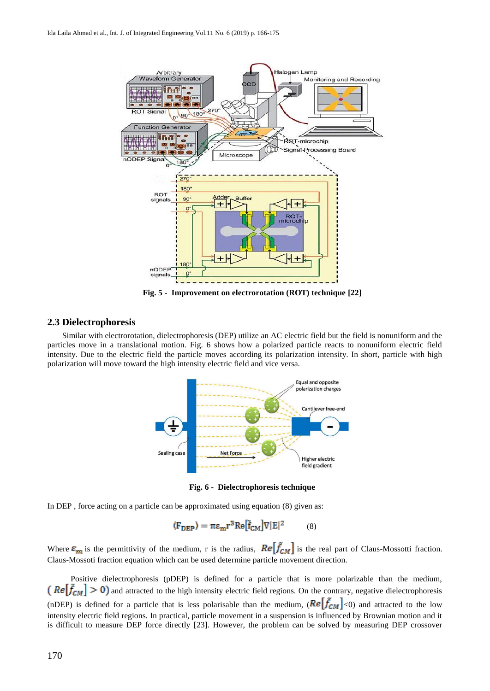

**Fig. 5 - Improvement on electrorotation (ROT) technique [22]**

# **2.3 Dielectrophoresis**

Similar with electrorotation, dielectrophoresis (DEP) utilize an AC electric field but the field is nonuniform and the particles move in a translational motion. Fig. 6 shows how a polarized particle reacts to nonuniform electric field intensity. Due to the electric field the particle moves according its polarization intensity. In short, particle with high polarization will move toward the high intensity electric field and vice versa.



**Fig. 6 - Dielectrophoresis technique**

In DEP , force acting on a particle can be approximated using equation (8) given as:

$$
\langle F_{\text{DEP}} \rangle = \pi \epsilon_{\text{m}} r^3 \text{Re} [\tilde{f}_{\text{CM}}] \nabla |E|^2 \tag{8}
$$

Where  $\varepsilon_m$  is the permittivity of the medium, r is the radius,  $Re[\tilde{f}_{CM}]$  is the real part of Claus-Mossotti fraction. Claus-Mossoti fraction equation which can be used determine particle movement direction.

Positive dielectrophoresis (pDEP) is defined for a particle that is more polarizable than the medium,  $\binom{6}{5}$  ( $Re[\tilde{f}_{CM}] > 0$ ) and attracted to the high intensity electric field regions. On the contrary, negative dielectrophoresis (nDEP) is defined for a particle that is less polarisable than the medium,  $(Re[\tilde{f}_{CM}]<0)$  and attracted to the low intensity electric field regions. In practical, particle movement in a suspension is influenced by Brownian motion and it is difficult to measure DEP force directly [23]. However, the problem can be solved by measuring DEP crossover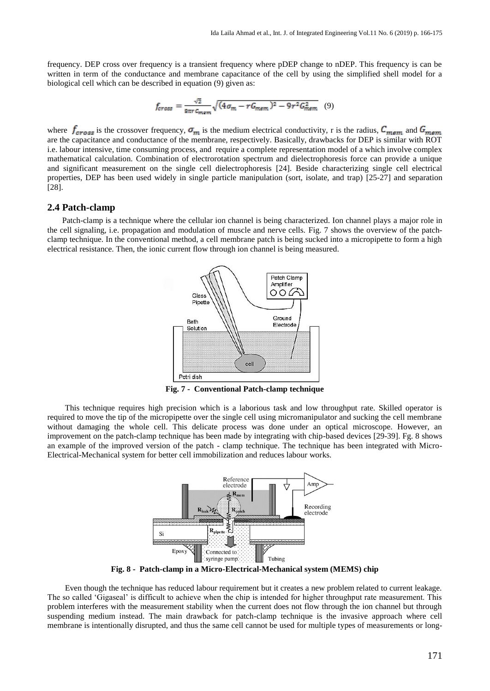frequency. DEP cross over frequency is a transient frequency where pDEP change to nDEP. This frequency is can be written in term of the conductance and membrane capacitance of the cell by using the simplified shell model for a biological cell which can be described in equation (9) given as:

$$
f_{cross} = \frac{\sqrt{2}}{\text{snr} c_{mem}} \sqrt{(4\sigma_m - rG_{mem})^2 - 9r^2 G_{mem}^2} \tag{9}
$$

where  $f_{cross}$  is the crossover frequency,  $\sigma_m$  is the medium electrical conductivity, r is the radius,  $C_{mem}$  and are the capacitance and conductance of the membrane, respectively. Basically, drawbacks for DEP is similar with ROT i.e. labour intensive, time consuming process, and require a complete representation model of a which involve complex mathematical calculation. Combination of electrorotation spectrum and dielectrophoresis force can provide a unique and significant measurement on the single cell dielectrophoresis [24]. Beside characterizing single cell electrical properties, DEP has been used widely in single particle manipulation (sort, isolate, and trap) [25-27] and separation [28].

# **2.4 Patch-clamp**

Patch-clamp is a technique where the cellular ion channel is being characterized. Ion channel plays a major role in the cell signaling, i.e. propagation and modulation of muscle and nerve cells. Fig. 7 shows the overview of the patchclamp technique. In the conventional method, a cell membrane patch is being sucked into a micropipette to form a high electrical resistance. Then, the ionic current flow through ion channel is being measured.



**Fig. 7 - Conventional Patch-clamp technique**

This technique requires high precision which is a laborious task and low throughput rate. Skilled operator is required to move the tip of the micropipette over the single cell using micromanipulator and sucking the cell membrane without damaging the whole cell. This delicate process was done under an optical microscope. However, an improvement on the patch-clamp technique has been made by integrating with chip-based devices [29-39]. Fg. 8 shows an example of the improved version of the patch - clamp technique. The technique has been integrated with Micro-Electrical-Mechanical system for better cell immobilization and reduces labour works.



**Fig. 8 - Patch-clamp in a Micro-Electrical-Mechanical system (MEMS) chip**

Even though the technique has reduced labour requirement but it creates a new problem related to current leakage. The so called 'Gigaseal' is difficult to achieve when the chip is intended for higher throughput rate measurement. This problem interferes with the measurement stability when the current does not flow through the ion channel but through suspending medium instead. The main drawback for patch-clamp technique is the invasive approach where cell membrane is intentionally disrupted, and thus the same cell cannot be used for multiple types of measurements or long-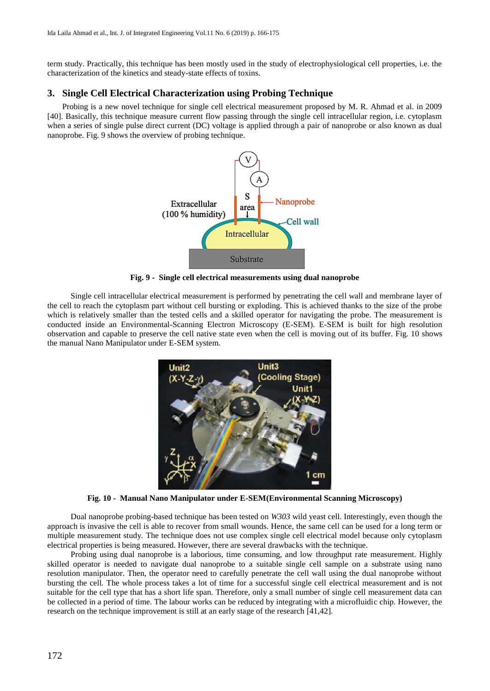term study. Practically, this technique has been mostly used in the study of electrophysiological cell properties, i.e. the characterization of the kinetics and steady-state effects of toxins.

# **3. Single Cell Electrical Characterization using Probing Technique**

Probing is a new novel technique for single cell electrical measurement proposed by M. R. Ahmad et al. in 2009 [40]. Basically, this technique measure current flow passing through the single cell intracellular region, i.e. cytoplasm when a series of single pulse direct current (DC) voltage is applied through a pair of nanoprobe or also known as dual nanoprobe. Fig. 9 shows the overview of probing technique.



**Fig. 9 - Single cell electrical measurements using dual nanoprobe**

Single cell intracellular electrical measurement is performed by penetrating the cell wall and membrane layer of the cell to reach the cytoplasm part without cell bursting or exploding. This is achieved thanks to the size of the probe which is relatively smaller than the tested cells and a skilled operator for navigating the probe. The measurement is conducted inside an Environmental-Scanning Electron Microscopy (E-SEM). E-SEM is built for high resolution observation and capable to preserve the cell native state even when the cell is moving out of its buffer. Fig. 10 shows the manual Nano Manipulator under E-SEM system.



**Fig. 10 - Manual Nano Manipulator under E-SEM(Environmental Scanning Microscopy)**

Dual nanoprobe probing-based technique has been tested on *W303* wild yeast cell. Interestingly, even though the approach is invasive the cell is able to recover from small wounds. Hence, the same cell can be used for a long term or multiple measurement study. The technique does not use complex single cell electrical model because only cytoplasm electrical properties is being measured. However, there are several drawbacks with the technique.

Probing using dual nanoprobe is a laborious, time consuming, and low throughput rate measurement. Highly skilled operator is needed to navigate dual nanoprobe to a suitable single cell sample on a substrate using nano resolution manipulator. Then, the operator need to carefully penetrate the cell wall using the dual nanoprobe without bursting the cell. The whole process takes a lot of time for a successful single cell electrical measurement and is not suitable for the cell type that has a short life span. Therefore, only a small number of single cell measurement data can be collected in a period of time. The labour works can be reduced by integrating with a microfluidic chip. However, the research on the technique improvement is still at an early stage of the research [41,42].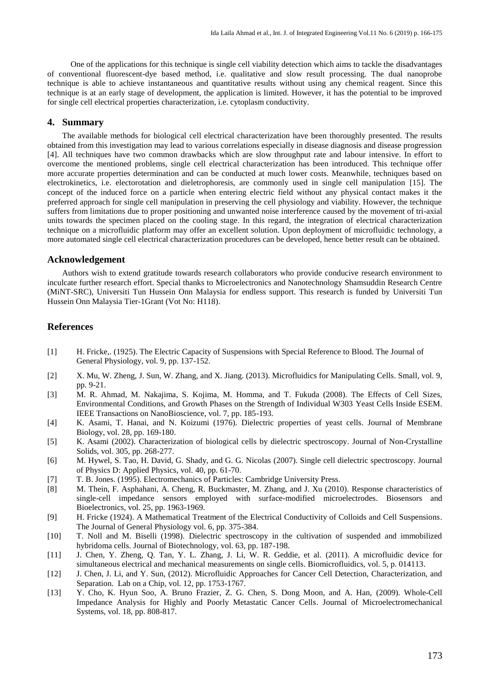One of the applications for this technique is single cell viability detection which aims to tackle the disadvantages of conventional fluorescent-dye based method, i.e. qualitative and slow result processing. The dual nanoprobe technique is able to achieve instantaneous and quantitative results without using any chemical reagent. Since this technique is at an early stage of development, the application is limited. However, it has the potential to be improved for single cell electrical properties characterization, i.e. cytoplasm conductivity.

# **4. Summary**

The available methods for biological cell electrical characterization have been thoroughly presented. The results obtained from this investigation may lead to various correlations especially in disease diagnosis and disease progression [4]. All techniques have two common drawbacks which are slow throughput rate and labour intensive. In effort to overcome the mentioned problems, single cell electrical characterization has been introduced. This technique offer more accurate properties determination and can be conducted at much lower costs. Meanwhile, techniques based on electrokinetics, i.e. electorotation and dieletrophoresis, are commonly used in single cell manipulation [15]. The concept of the induced force on a particle when entering electric field without any physical contact makes it the preferred approach for single cell manipulation in preserving the cell physiology and viability. However, the technique suffers from limitations due to proper positioning and unwanted noise interference caused by the movement of tri-axial units towards the specimen placed on the cooling stage. In this regard, the integration of electrical characterization technique on a microfluidic platform may offer an excellent solution. Upon deployment of microfluidic technology, a more automated single cell electrical characterization procedures can be developed, hence better result can be obtained.

#### **Acknowledgement**

Authors wish to extend gratitude towards research collaborators who provide conducive research environment to inculcate further research effort. Special thanks to Microelectronics and Nanotechnology Shamsuddin Research Centre (MiNT-SRC), Universiti Tun Hussein Onn Malaysia for endless support. This research is funded by Universiti Tun Hussein Onn Malaysia Tier-1Grant (Vot No: H118).

# **References**

- [1] H. Fricke,. (1925). The Electric Capacity of Suspensions with Special Reference to Blood. The Journal of General Physiology, vol. 9, pp. 137-152.
- [2] X. Mu, W. Zheng, J. Sun, W. Zhang, and X. Jiang. (2013). Microfluidics for Manipulating Cells. Small, vol. 9, pp. 9-21.
- [3] M. R. Ahmad, M. Nakajima, S. Kojima, M. Homma, and T. Fukuda (2008). The Effects of Cell Sizes, Environmental Conditions, and Growth Phases on the Strength of Individual W303 Yeast Cells Inside ESEM. IEEE Transactions on NanoBioscience, vol. 7, pp. 185-193.
- [4] K. Asami, T. Hanai, and N. Koizumi (1976). Dielectric properties of yeast cells. Journal of Membrane Biology, vol. 28, pp. 169-180.
- [5] K. Asami (2002). Characterization of biological cells by dielectric spectroscopy. Journal of Non-Crystalline Solids, vol. 305, pp. 268-277.
- [6] M. Hywel, S. Tao, H. David, G. Shady, and G. G. Nicolas (2007). Single cell dielectric spectroscopy. Journal of Physics D: Applied Physics, vol. 40, pp. 61-70.
- [7] T. B. Jones. (1995). Electromechanics of Particles: Cambridge University Press.
- [8] M. Thein, F. Asphahani, A. Cheng, R. Buckmaster, M. Zhang, and J. Xu (2010). Response characteristics of single-cell impedance sensors employed with surface-modified microelectrodes. Biosensors and Bioelectronics, vol. 25, pp. 1963-1969.
- [9] H. Fricke (1924). A Mathematical Treatment of the Electrical Conductivity of Colloids and Cell Suspensions. The Journal of General Physiology vol. 6, pp. 375-384.
- [10] T. Noll and M. Biselli (1998). Dielectric spectroscopy in the cultivation of suspended and immobilized hybridoma cells. Journal of Biotechnology, vol. 63, pp. 187-198.
- [11] J. Chen, Y. Zheng, Q. Tan, Y. L. Zhang, J. Li, W. R. Geddie, et al. (2011). A microfluidic device for simultaneous electrical and mechanical measurements on single cells. Biomicrofluidics, vol. 5, p. 014113.
- [12] J. Chen, J. Li, and Y. Sun, (2012). Microfluidic Approaches for Cancer Cell Detection, Characterization, and Separation. Lab on a Chip, vol. 12, pp. 1753-1767.
- [13] Y. Cho, K. Hyun Soo, A. Bruno Frazier, Z. G. Chen, S. Dong Moon, and A. Han, (2009). Whole-Cell Impedance Analysis for Highly and Poorly Metastatic Cancer Cells. Journal of Microelectromechanical Systems, vol. 18, pp. 808-817.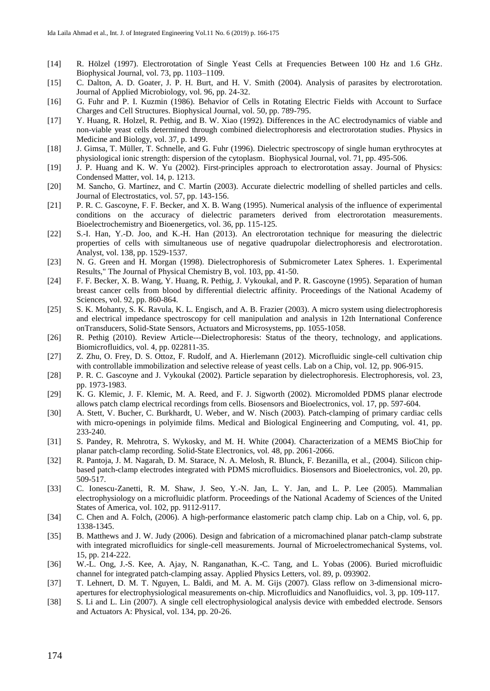- [14] R. Hölzel (1997). Electrorotation of Single Yeast Cells at Frequencies Between 100 Hz and 1.6 GHz. Biophysical Journal, vol. 73, pp. 1103–1109.
- [15] C. Dalton, A. D. Goater, J. P. H. Burt, and H. V. Smith (2004). Analysis of parasites by electrorotation. Journal of Applied Microbiology, vol. 96, pp. 24-32.
- [16] G. Fuhr and P. I. Kuzmin (1986). Behavior of Cells in Rotating Electric Fields with Account to Surface Charges and Cell Structures. Biophysical Journal, vol. 50, pp. 789-795.
- [17] Y. Huang, R. Holzel, R. Pethig, and B. W. Xiao (1992). Differences in the AC electrodynamics of viable and non-viable yeast cells determined through combined dielectrophoresis and electrorotation studies. Physics in Medicine and Biology, vol. 37, p. 1499.
- [18] J. Gimsa, T. Müller, T. Schnelle, and G. Fuhr (1996). Dielectric spectroscopy of single human erythrocytes at physiological ionic strength: dispersion of the cytoplasm. Biophysical Journal, vol. 71, pp. 495-506.
- [19] J. P. Huang and K. W. Yu (2002). First-principles approach to electrorotation assay. Journal of Physics: Condensed Matter, vol. 14, p. 1213.
- [20] M. Sancho, G. Martínez, and C. Martín (2003). Accurate dielectric modelling of shelled particles and cells. Journal of Electrostatics, vol. 57, pp. 143-156.
- [21] P. R. C. Gascoyne, F. F. Becker, and X. B. Wang (1995). Numerical analysis of the influence of experimental conditions on the accuracy of dielectric parameters derived from electrorotation measurements. Bioelectrochemistry and Bioenergetics, vol. 36, pp. 115-125.
- [22] S.-I. Han, Y.-D. Joo, and K.-H. Han (2013). An electrorotation technique for measuring the dielectric properties of cells with simultaneous use of negative quadrupolar dielectrophoresis and electrorotation. Analyst, vol. 138, pp. 1529-1537.
- [23] N. G. Green and H. Morgan (1998). Dielectrophoresis of Submicrometer Latex Spheres. 1. Experimental Results," The Journal of Physical Chemistry B, vol. 103, pp. 41-50.
- [24] F. F. Becker, X. B. Wang, Y. Huang, R. Pethig, J. Vykoukal, and P. R. Gascoyne (1995). Separation of human breast cancer cells from blood by differential dielectric affinity. Proceedings of the National Academy of Sciences, vol. 92, pp. 860-864.
- [25] S. K. Mohanty, S. K. Ravula, K. L. Engisch, and A. B. Frazier (2003). A micro system using dielectrophoresis and electrical impedance spectroscopy for cell manipulation and analysis in 12th International Conference onTransducers, Solid-State Sensors, Actuators and Microsystems, pp. 1055-1058.
- [26] R. Pethig (2010). Review Article---Dielectrophoresis: Status of the theory, technology, and applications. Biomicrofluidics, vol. 4, pp. 022811-35.
- [27] Z. Zhu, O. Frey, D. S. Ottoz, F. Rudolf, and A. Hierlemann (2012). Microfluidic single-cell cultivation chip with controllable immobilization and selective release of yeast cells. Lab on a Chip, vol. 12, pp. 906-915.
- [28] P. R. C. Gascoyne and J. Vykoukal (2002). Particle separation by dielectrophoresis. Electrophoresis, vol. 23, pp. 1973-1983.
- [29] K. G. Klemic, J. F. Klemic, M. A. Reed, and F. J. Sigworth (2002). Micromolded PDMS planar electrode allows patch clamp electrical recordings from cells. Biosensors and Bioelectronics, vol. 17, pp. 597-604.
- [30] A. Stett, V. Bucher, C. Burkhardt, U. Weber, and W. Nisch (2003). Patch-clamping of primary cardiac cells with micro-openings in polyimide films. Medical and Biological Engineering and Computing, vol. 41, pp. 233-240.
- [31] S. Pandey, R. Mehrotra, S. Wykosky, and M. H. White (2004). Characterization of a MEMS BioChip for planar patch-clamp recording. Solid-State Electronics, vol. 48, pp. 2061-2066.
- [32] R. Pantoja, J. M. Nagarah, D. M. Starace, N. A. Melosh, R. Blunck, F. Bezanilla, et al., (2004). Silicon chipbased patch-clamp electrodes integrated with PDMS microfluidics. Biosensors and Bioelectronics, vol. 20, pp. 509-517.
- [33] C. Ionescu-Zanetti, R. M. Shaw, J. Seo, Y.-N. Jan, L. Y. Jan, and L. P. Lee (2005). Mammalian electrophysiology on a microfluidic platform. Proceedings of the National Academy of Sciences of the United States of America, vol. 102, pp. 9112-9117.
- [34] C. Chen and A. Folch, (2006). A high-performance elastomeric patch clamp chip. Lab on a Chip, vol. 6, pp. 1338-1345.
- [35] B. Matthews and J. W. Judy (2006). Design and fabrication of a micromachined planar patch-clamp substrate with integrated microfluidics for single-cell measurements. Journal of Microelectromechanical Systems, vol. 15, pp. 214-222.
- [36] W.-L. Ong, J.-S. Kee, A. Ajay, N. Ranganathan, K.-C. Tang, and L. Yobas (2006). Buried microfluidic channel for integrated patch-clamping assay. Applied Physics Letters, vol. 89, p. 093902.
- [37] T. Lehnert, D. M. T. Nguyen, L. Baldi, and M. A. M. Gijs (2007). Glass reflow on 3-dimensional microapertures for electrophysiological measurements on-chip. Microfluidics and Nanofluidics, vol. 3, pp. 109-117.
- [38] S. Li and L. Lin (2007). A single cell electrophysiological analysis device with embedded electrode. Sensors and Actuators A: Physical, vol. 134, pp. 20-26.